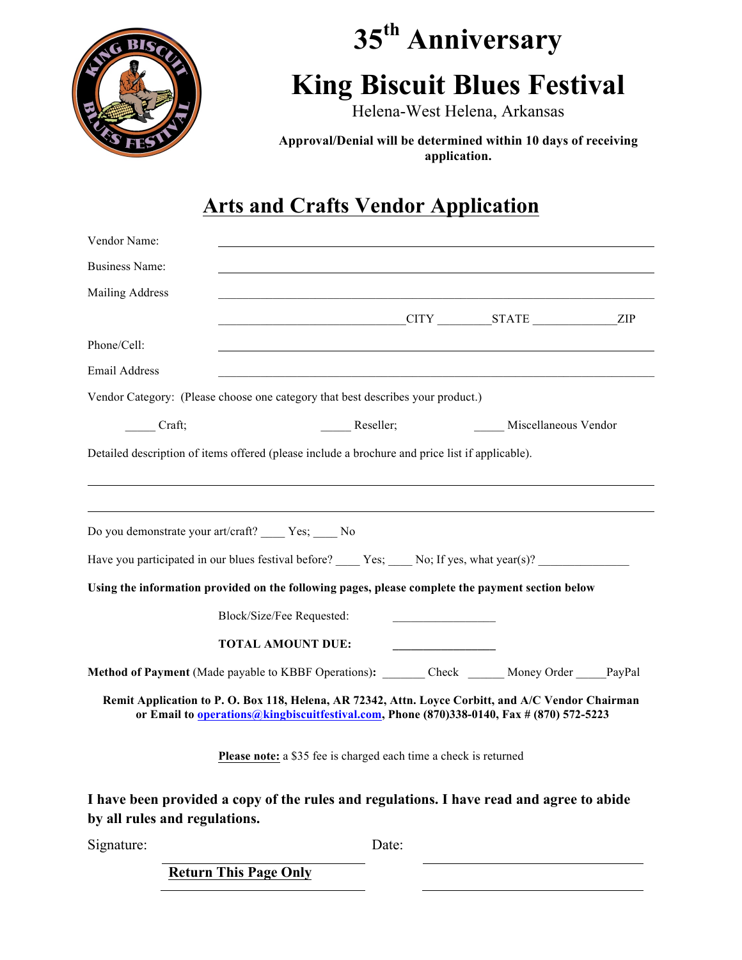

# **35th Anniversary King Biscuit Blues Festival**

Helena-West Helena, Arkansas

**Approval/Denial will be determined within 10 days of receiving application.**

## **Arts and Crafts Vendor Application**

| Vendor Name:                  |                                                                                                                                                                                                 |                      |  |
|-------------------------------|-------------------------------------------------------------------------------------------------------------------------------------------------------------------------------------------------|----------------------|--|
| <b>Business Name:</b>         |                                                                                                                                                                                                 |                      |  |
| <b>Mailing Address</b>        |                                                                                                                                                                                                 |                      |  |
|                               | CITY STATE ZIP                                                                                                                                                                                  |                      |  |
| Phone/Cell:                   |                                                                                                                                                                                                 |                      |  |
| <b>Email Address</b>          |                                                                                                                                                                                                 |                      |  |
|                               | Vendor Category: (Please choose one category that best describes your product.)                                                                                                                 |                      |  |
| Craft;                        | _____ Reseller;                                                                                                                                                                                 | Miscellaneous Vendor |  |
|                               | Detailed description of items offered (please include a brochure and price list if applicable).                                                                                                 |                      |  |
|                               |                                                                                                                                                                                                 |                      |  |
|                               | Do you demonstrate your art/craft? ______ Yes; _____ No                                                                                                                                         |                      |  |
|                               | Have you participated in our blues festival before? $\_\_\_\$ Yes; $\_\_\_$ No; If yes, what year(s)?                                                                                           |                      |  |
|                               | Using the information provided on the following pages, please complete the payment section below                                                                                                |                      |  |
|                               | Block/Size/Fee Requested:                                                                                                                                                                       |                      |  |
|                               | <b>TOTAL AMOUNT DUE:</b>                                                                                                                                                                        |                      |  |
|                               | Method of Payment (Made payable to KBBF Operations): Check Money Order PayPal                                                                                                                   |                      |  |
|                               | Remit Application to P. O. Box 118, Helena, AR 72342, Attn. Loyce Corbitt, and A/C Vendor Chairman<br>or Email to operations@kingbiscuitfestival.com, Phone (870)338-0140, Fax # (870) 572-5223 |                      |  |
|                               | Please note: a \$35 fee is charged each time a check is returned                                                                                                                                |                      |  |
| by all rules and regulations. | I have been provided a copy of the rules and regulations. I have read and agree to abide                                                                                                        |                      |  |
| Signature:                    | Date:                                                                                                                                                                                           |                      |  |
|                               | <b>Return This Page Only</b>                                                                                                                                                                    |                      |  |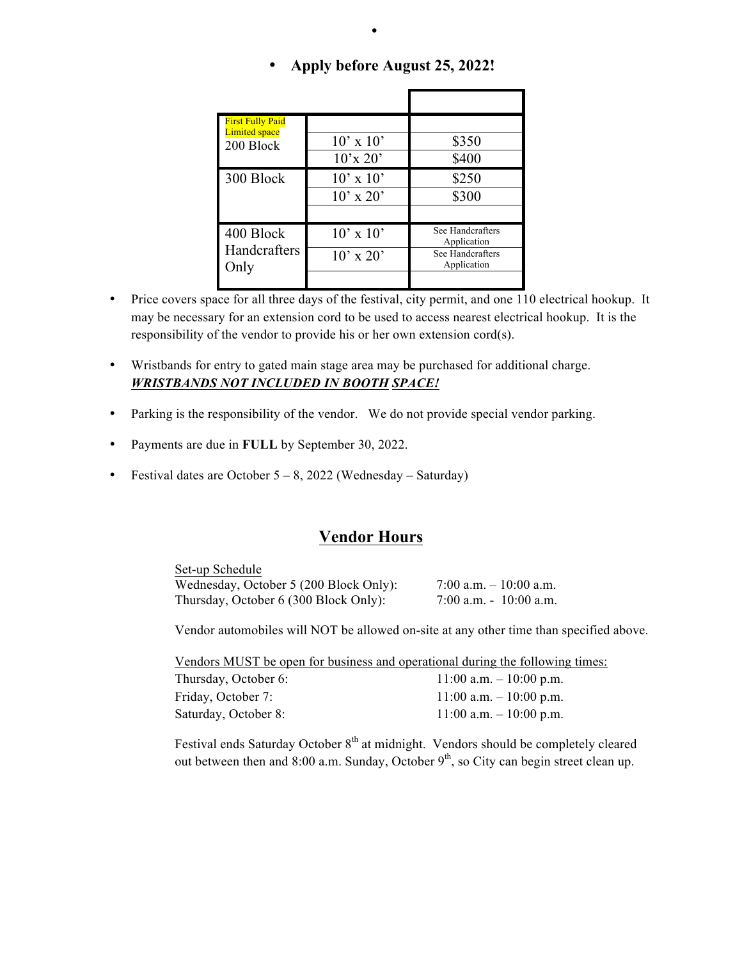| <b>First Fully Paid</b><br><b>Limited space</b> |                                |                                 |
|-------------------------------------------------|--------------------------------|---------------------------------|
| 200 Block                                       | $10' \times 10'$               | \$350                           |
|                                                 | $10^{\circ}$ x 20 <sup>2</sup> | \$400                           |
| 300 Block                                       | $10' \times 10'$               | \$250                           |
|                                                 | $10'$ x $20'$                  | \$300                           |
|                                                 |                                |                                 |
| 400 Block                                       | $10' \times 10'$               | See Handcrafters<br>Application |
| Handcrafters<br>Only                            | $10' \times 20'$               | See Handcrafters<br>Application |
|                                                 |                                |                                 |

#### • **Apply before August 25, 2022!**

•

- Price covers space for all three days of the festival, city permit, and one 110 electrical hookup. It may be necessary for an extension cord to be used to access nearest electrical hookup. It is the responsibility of the vendor to provide his or her own extension cord(s).
- Wristbands for entry to gated main stage area may be purchased for additional charge. *WRISTBANDS NOT INCLUDED IN BOOTH SPACE!*
- Parking is the responsibility of the vendor. We do not provide special vendor parking.
- Payments are due in **FULL** by September 30, 2022.
- Festival dates are October  $5 8$ , 2022 (Wednesday Saturday)

#### **Vendor Hours**

| Set-up Schedule                        |                         |
|----------------------------------------|-------------------------|
| Wednesday, October 5 (200 Block Only): | 7:00 a.m. $-10:00$ a.m. |
| Thursday, October 6 (300 Block Only):  | 7:00 a.m. $-10:00$ a.m. |

Vendor automobiles will NOT be allowed on-site at any other time than specified above.

Vendors MUST be open for business and operational during the following times:

| Thursday, October 6: | $11:00$ a.m. $-10:00$ p.m. |
|----------------------|----------------------------|
| Friday, October 7:   | $11:00$ a.m. $-10:00$ p.m. |
| Saturday, October 8: | $11:00$ a.m. $-10:00$ p.m. |

Festival ends Saturday October 8<sup>th</sup> at midnight. Vendors should be completely cleared out between then and 8:00 a.m. Sunday, October  $9<sup>th</sup>$ , so City can begin street clean up.